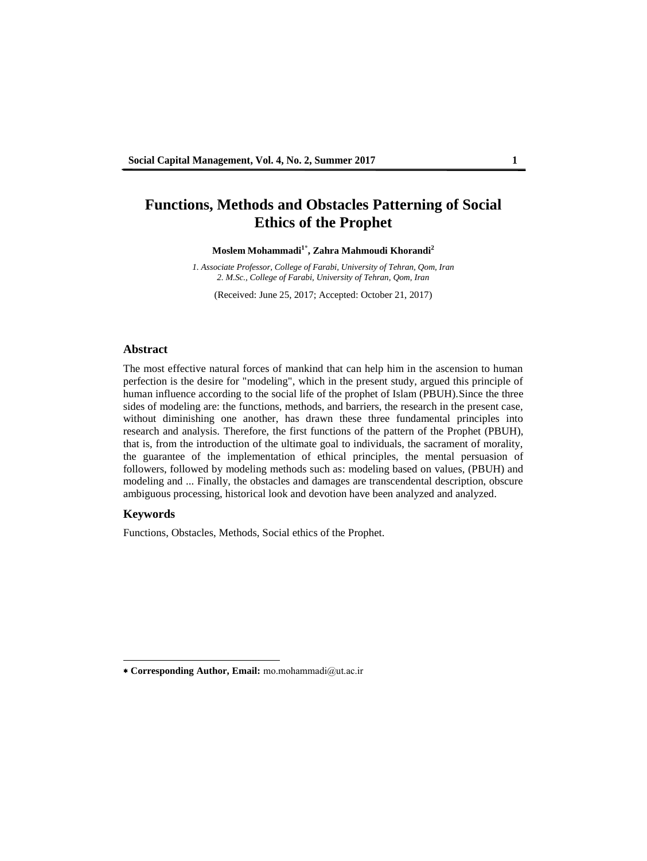# **Functions, Methods and Obstacles Patterning of Social Ethics of the Prophet**

### **Moslem Mohammadi<sup>1</sup>\* , Zahra Mahmoudi Khorandi<sup>2</sup>**

*1. Associate Professor, College of Farabi, University of Tehran, Qom, Iran 2. M.Sc., College of Farabi, University of Tehran, Qom, Iran*

(Received: June 25, 2017; Accepted: October 21, 2017)

### **Abstract**

The most effective natural forces of mankind that can help him in the ascension to human perfection is the desire for "modeling", which in the present study, argued this principle of human influence according to the social life of the prophet of Islam (PBUH).Since the three sides of modeling are: the functions, methods, and barriers, the research in the present case, without diminishing one another, has drawn these three fundamental principles into research and analysis. Therefore, the first functions of the pattern of the Prophet (PBUH), that is, from the introduction of the ultimate goal to individuals, the sacrament of morality, the guarantee of the implementation of ethical principles, the mental persuasion of followers, followed by modeling methods such as: modeling based on values, (PBUH) and modeling and ... Finally, the obstacles and damages are transcendental description, obscure ambiguous processing, historical look and devotion have been analyzed and analyzed.

## **Keywords**

Functions, Obstacles, Methods, Social ethics of the Prophet.

**Corresponding Author, Email:** mo.mohammadi@ut.ac.ir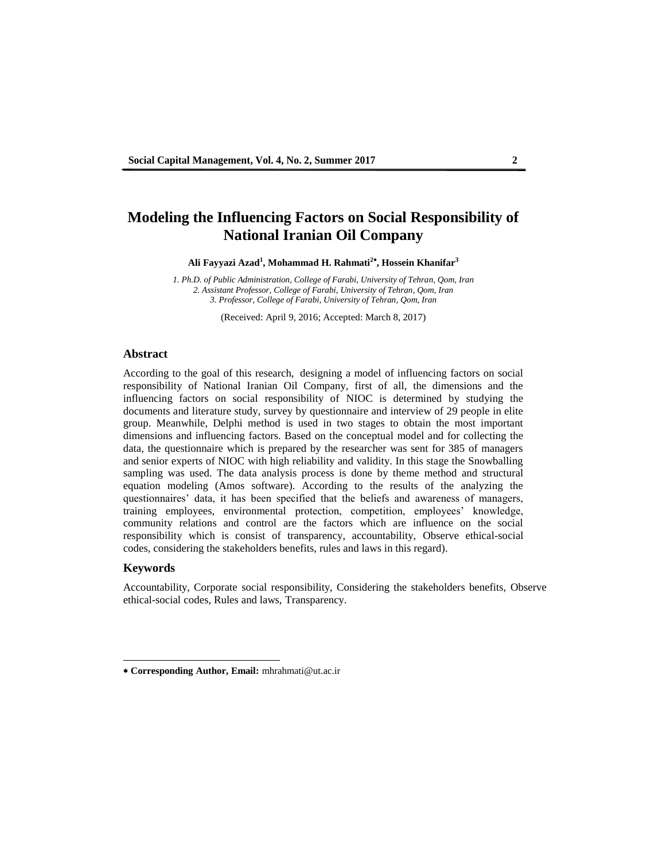# **Modeling the Influencing Factors on Social Responsibility of National Iranian Oil Company**

**Ali Fayyazi Azad<sup>1</sup> , Mohammad H. Rahmati<sup>2</sup> , Hossein Khanifar<sup>3</sup>**

*1. Ph.D. of Public Administration, College of Farabi, University of Tehran, Qom, Iran 2. Assistant Professor, College of Farabi, University of Tehran, Qom, Iran 3. Professor, College of Farabi, University of Tehran, Qom, Iran*

(Received: April 9, 2016; Accepted: March 8, 2017)

### **Abstract**

According to the goal of this research, designing a model of influencing factors on social responsibility of National Iranian Oil Company, first of all, the dimensions and the influencing factors on social responsibility of NIOC is determined by studying the documents and literature study, survey by questionnaire and interview of 29 people in elite group. Meanwhile, Delphi method is used in two stages to obtain the most important dimensions and influencing factors. Based on the conceptual model and for collecting the data, the questionnaire which is prepared by the researcher was sent for 385 of managers and senior experts of NIOC with high reliability and validity. In this stage the Snowballing sampling was used. The data analysis process is done by theme method and structural equation modeling (Amos software). According to the results of the analyzing the questionnaires' data, it has been specified that the beliefs and awareness of managers, training employees, environmental protection, competition, employees' knowledge, community relations and control are the factors which are influence on the social responsibility which is consist of transparency, accountability, Observe ethical-social codes, considering the stakeholders benefits, rules and laws in this regard).

### **Keywords**

 $\overline{a}$ 

Accountability, Corporate social responsibility, Considering the stakeholders benefits, Observe ethical-social codes, Rules and laws, Transparency.

**Corresponding Author, Email:** mhrahmati@ut.ac.ir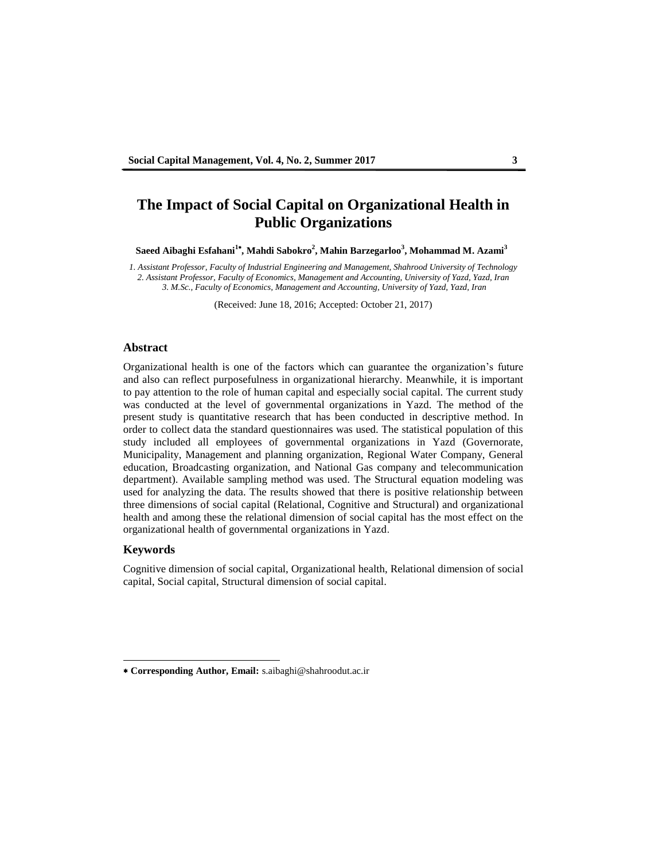# **The Impact of Social Capital on Organizational Health in Public Organizations**

**Saeed Aibaghi Esfahani<sup>1</sup> , Mahdi Sabokro<sup>2</sup> , Mahin Barzegarloo<sup>3</sup> , Mohammad M. Azami<sup>3</sup>**

*1. Assistant Professor, Faculty of Industrial Engineering and Management, Shahrood University of Technology 2. Assistant Professor, Faculty of Economics, Management and Accounting, University of Yazd, Yazd, Iran 3. M.Sc., Faculty of Economics, Management and Accounting, University of Yazd, Yazd, Iran*

(Received: June 18, 2016; Accepted: October 21, 2017)

### **Abstract**

Organizational health is one of the factors which can guarantee the organization's future and also can reflect purposefulness in organizational hierarchy. Meanwhile, it is important to pay attention to the role of human capital and especially social capital. The current study was conducted at the level of governmental organizations in Yazd. The method of the present study is quantitative research that has been conducted in descriptive method. In order to collect data the standard questionnaires was used. The statistical population of this study included all employees of governmental organizations in Yazd (Governorate, Municipality, Management and planning organization, Regional Water Company, General education, Broadcasting organization, and National Gas company and telecommunication department). Available sampling method was used. The Structural equation modeling was used for analyzing the data. The results showed that there is positive relationship between three dimensions of social capital (Relational, Cognitive and Structural) and organizational health and among these the relational dimension of social capital has the most effect on the organizational health of governmental organizations in Yazd.

## **Keywords**

 $\overline{a}$ 

Cognitive dimension of social capital, Organizational health, Relational dimension of social capital, Social capital, Structural dimension of social capital.

**Corresponding Author, Email:** s.aibaghi@shahroodut.ac.ir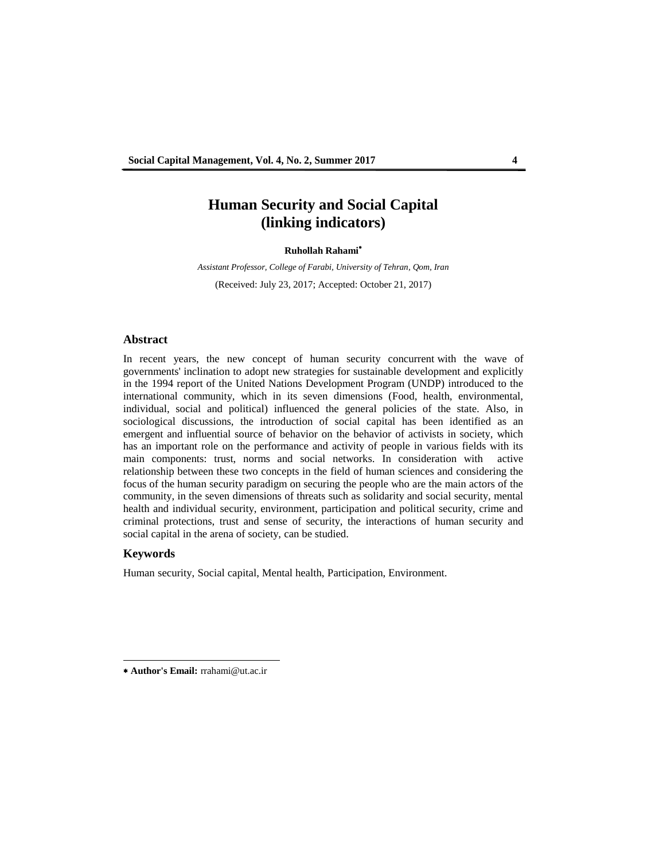# **Human Security and Social Capital (linking indicators)**

#### **Ruhollah Rahami**

*Assistant Professor, College of Farabi, University of Tehran, Qom, Iran* (Received: July 23, 2017; Accepted: October 21, 2017)

# **Abstract**

In recent years, the new concept of human security concurrent with the wave of governments' inclination to adopt new strategies for sustainable development and explicitly in the 1994 report of the United Nations Development Program (UNDP) introduced to the international community, which in its seven dimensions (Food, health, environmental, individual, social and political) influenced the general policies of the state. Also, in sociological discussions, the introduction of social capital has been identified as an emergent and influential source of behavior on the behavior of activists in society, which has an important role on the performance and activity of people in various fields with its main components: trust, norms and social networks. In consideration with active relationship between these two concepts in the field of human sciences and considering the focus of the human security paradigm on securing the people who are the main actors of the community, in the seven dimensions of threats such as solidarity and social security, mental health and individual security, environment, participation and political security, crime and criminal protections, trust and sense of security, the interactions of human security and social capital in the arena of society, can be studied.

## **Keywords**

 $\overline{a}$ 

Human security, Social capital, Mental health, Participation, Environment.

**Author's Email:** rrahami@ut.ac.ir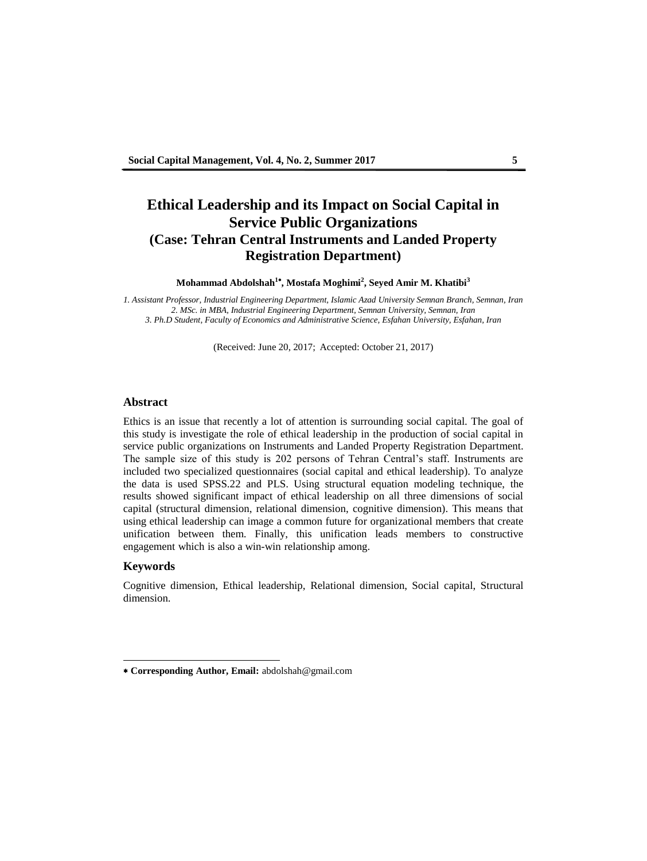# **Ethical Leadership and its Impact on Social Capital in Service Public Organizations (Case: Tehran Central Instruments and Landed Property Registration Department)**

**Mohammad Abdolshah<sup>1</sup> , Mostafa Moghimi<sup>2</sup> , Seyed Amir M. Khatibi<sup>3</sup>**

*1. Assistant Professor, Industrial Engineering Department, Islamic Azad University Semnan Branch, Semnan, Iran 2. MSc. in MBA, Industrial Engineering Department, Semnan University, Semnan, Iran 3. Ph.D Student, Faculty of Economics and Administrative Science, Esfahan University, Esfahan, Iran*

(Received: June 20, 2017; Accepted: October 21, 2017)

## **Abstract**

Ethics is an issue that recently a lot of attention is surrounding social capital. The goal of this study is investigate the role of ethical leadership in the production of social capital in service public organizations on Instruments and Landed Property Registration Department. The sample size of this study is 202 persons of Tehran Central's staff. Instruments are included two specialized questionnaires (social capital and ethical leadership). To analyze the data is used SPSS.22 and PLS. Using structural equation modeling technique, the results showed significant impact of ethical leadership on all three dimensions of social capital (structural dimension, relational dimension, cognitive dimension). This means that using ethical leadership can image a common future for organizational members that create unification between them. Finally, this unification leads members to constructive engagement which is also a win-win relationship among.

## **Keywords**

 $\overline{a}$ 

Cognitive dimension, Ethical leadership, Relational dimension, Social capital, Structural dimension.

**Corresponding Author, Email:** abdolshah@gmail.com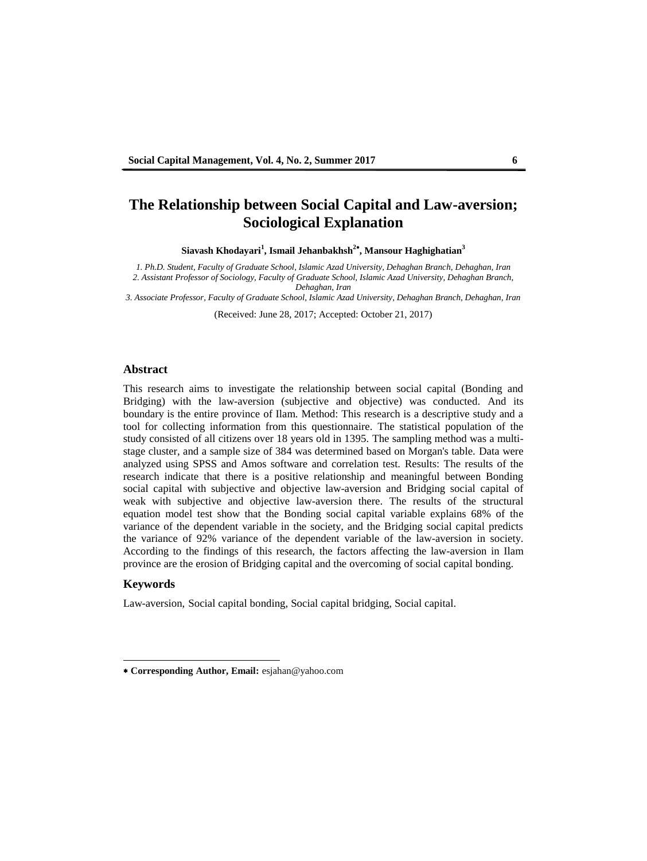# **The Relationship between Social Capital and Law-aversion; Sociological Explanation**

**Siavash Khodayari<sup>1</sup> , Ismail Jehanbakhsh<sup>2</sup> , Mansour Haghighatian<sup>3</sup>**

*1. Ph.D. Student, Faculty of Graduate School, Islamic Azad University, Dehaghan Branch, Dehaghan, Iran 2. Assistant Professor of Sociology, Faculty of Graduate School, Islamic Azad University, Dehaghan Branch, Dehaghan, Iran*

*3. Associate Professor, Faculty of Graduate School, Islamic Azad University, Dehaghan Branch, Dehaghan, Iran*

(Received: June 28, 2017; Accepted: October 21, 2017)

#### **Abstract**

This research aims to investigate the relationship between social capital (Bonding and Bridging) with the law-aversion (subjective and objective) was conducted. And its boundary is the entire province of Ilam. Method: This research is a descriptive study and a tool for collecting information from this questionnaire. The statistical population of the study consisted of all citizens over 18 years old in 1395. The sampling method was a multistage cluster, and a sample size of 384 was determined based on Morgan's table. Data were analyzed using SPSS and Amos software and correlation test. Results: The results of the research indicate that there is a positive relationship and meaningful between Bonding social capital with subjective and objective law-aversion and Bridging social capital of weak with subjective and objective law-aversion there. The results of the structural equation model test show that the Bonding social capital variable explains 68% of the variance of the dependent variable in the society, and the Bridging social capital predicts the variance of 92% variance of the dependent variable of the law-aversion in society. According to the findings of this research, the factors affecting the law-aversion in Ilam province are the erosion of Bridging capital and the overcoming of social capital bonding.

## **Keywords**

 $\overline{a}$ 

Law-aversion, Social capital bonding, Social capital bridging, Social capital.

**Corresponding Author, Email:** esjahan@yahoo.com